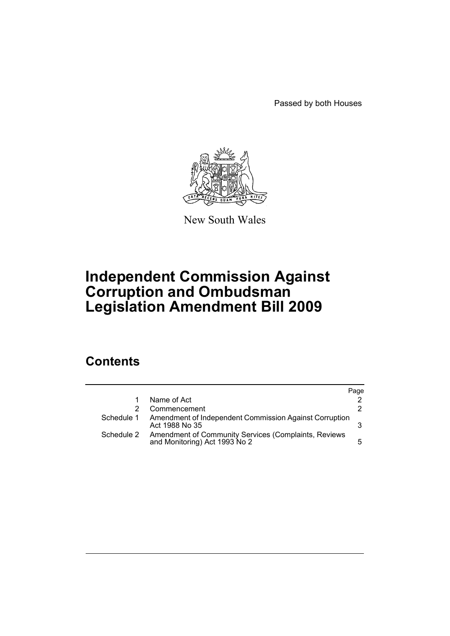Passed by both Houses



New South Wales

# **Independent Commission Against Corruption and Ombudsman Legislation Amendment Bill 2009**

# **Contents**

|            |                                                                                       | Page |
|------------|---------------------------------------------------------------------------------------|------|
|            | Name of Act                                                                           | 2.   |
|            | Commencement                                                                          | 2.   |
| Schedule 1 | Amendment of Independent Commission Against Corruption<br>Act 1988 No 35              |      |
| Schedule 2 | Amendment of Community Services (Complaints, Reviews<br>and Monitoring) Act 1993 No 2 | 5.   |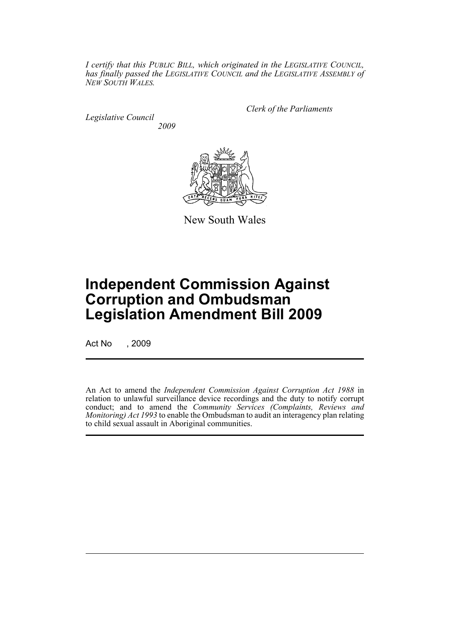*I certify that this PUBLIC BILL, which originated in the LEGISLATIVE COUNCIL, has finally passed the LEGISLATIVE COUNCIL and the LEGISLATIVE ASSEMBLY of NEW SOUTH WALES.*

*Legislative Council 2009* *Clerk of the Parliaments*



New South Wales

# **Independent Commission Against Corruption and Ombudsman Legislation Amendment Bill 2009**

Act No , 2009

An Act to amend the *Independent Commission Against Corruption Act 1988* in relation to unlawful surveillance device recordings and the duty to notify corrupt conduct; and to amend the *Community Services (Complaints, Reviews and Monitoring) Act 1993* to enable the Ombudsman to audit an interagency plan relating to child sexual assault in Aboriginal communities.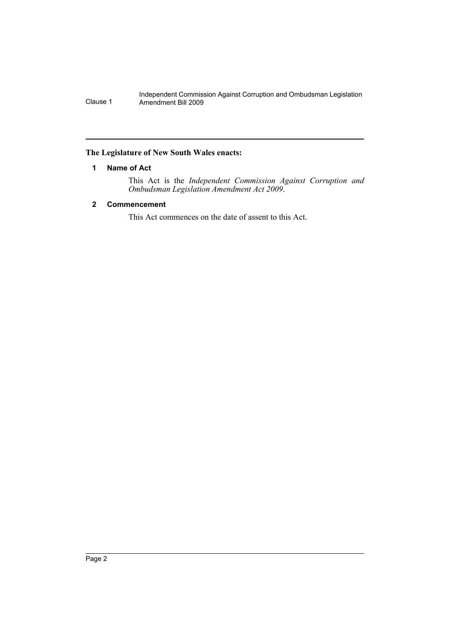## <span id="page-2-0"></span>**The Legislature of New South Wales enacts:**

# **1 Name of Act**

This Act is the *Independent Commission Against Corruption and Ombudsman Legislation Amendment Act 2009*.

# <span id="page-2-1"></span>**2 Commencement**

This Act commences on the date of assent to this Act.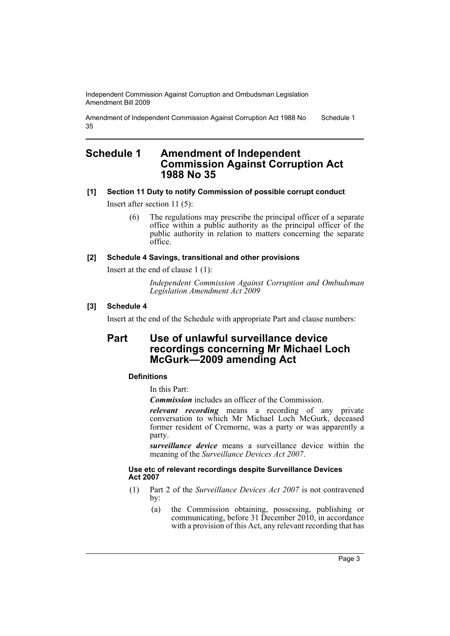Amendment of Independent Commission Against Corruption Act 1988 No 35 Schedule 1

# <span id="page-3-0"></span>**Schedule 1 Amendment of Independent Commission Against Corruption Act 1988 No 35**

# **[1] Section 11 Duty to notify Commission of possible corrupt conduct**

Insert after section 11 (5):

(6) The regulations may prescribe the principal officer of a separate office within a public authority as the principal officer of the public authority in relation to matters concerning the separate office.

## **[2] Schedule 4 Savings, transitional and other provisions**

Insert at the end of clause 1 (1):

*Independent Commission Against Corruption and Ombudsman Legislation Amendment Act 2009*

## **[3] Schedule 4**

Insert at the end of the Schedule with appropriate Part and clause numbers:

# **Part Use of unlawful surveillance device recordings concerning Mr Michael Loch McGurk—2009 amending Act**

## **Definitions**

In this Part:

*Commission* includes an officer of the Commission.

*relevant recording* means a recording of any private conversation to which Mr Michael Loch McGurk, deceased former resident of Cremorne, was a party or was apparently a party.

*surveillance device* means a surveillance device within the meaning of the *Surveillance Devices Act 2007*.

#### **Use etc of relevant recordings despite Surveillance Devices Act 2007**

- (1) Part 2 of the *Surveillance Devices Act 2007* is not contravened by:
	- (a) the Commission obtaining, possessing, publishing or communicating, before 31 December 2010, in accordance with a provision of this Act, any relevant recording that has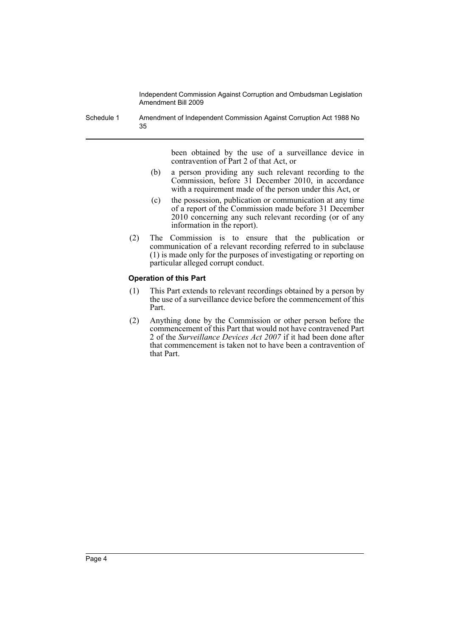Schedule 1 Amendment of Independent Commission Against Corruption Act 1988 No 35

> been obtained by the use of a surveillance device in contravention of Part 2 of that Act, or

- (b) a person providing any such relevant recording to the Commission, before 31 December 2010, in accordance with a requirement made of the person under this Act, or
- (c) the possession, publication or communication at any time of a report of the Commission made before 31 December 2010 concerning any such relevant recording (or of any information in the report).
- (2) The Commission is to ensure that the publication or communication of a relevant recording referred to in subclause (1) is made only for the purposes of investigating or reporting on particular alleged corrupt conduct.

#### **Operation of this Part**

- (1) This Part extends to relevant recordings obtained by a person by the use of a surveillance device before the commencement of this Part.
- (2) Anything done by the Commission or other person before the commencement of this Part that would not have contravened Part 2 of the *Surveillance Devices Act 2007* if it had been done after that commencement is taken not to have been a contravention of that Part.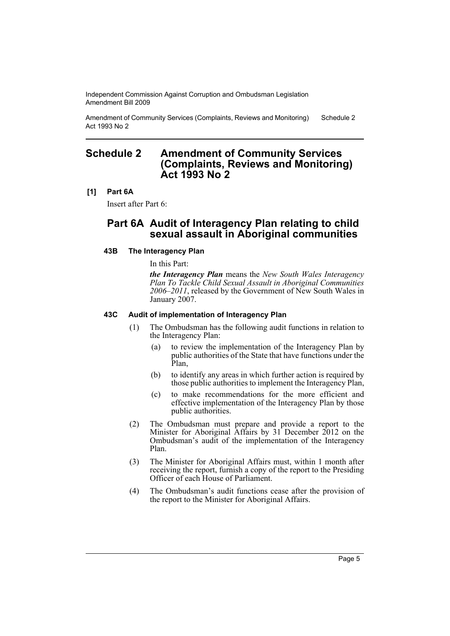Amendment of Community Services (Complaints, Reviews and Monitoring) Act 1993 No 2 Schedule 2

# <span id="page-5-0"></span>**Schedule 2 Amendment of Community Services (Complaints, Reviews and Monitoring) Act 1993 No 2**

## **[1] Part 6A**

Insert after Part 6:

# **Part 6A Audit of Interagency Plan relating to child sexual assault in Aboriginal communities**

## **43B The Interagency Plan**

In this Part:

*the Interagency Plan* means the *New South Wales Interagency Plan To Tackle Child Sexual Assault in Aboriginal Communities 2006–2011*, released by the Government of New South Wales in January 2007.

## **43C Audit of implementation of Interagency Plan**

- (1) The Ombudsman has the following audit functions in relation to the Interagency Plan:
	- (a) to review the implementation of the Interagency Plan by public authorities of the State that have functions under the Plan,
	- (b) to identify any areas in which further action is required by those public authorities to implement the Interagency Plan,
	- (c) to make recommendations for the more efficient and effective implementation of the Interagency Plan by those public authorities.
- (2) The Ombudsman must prepare and provide a report to the Minister for Aboriginal Affairs by 31 December 2012 on the Ombudsman's audit of the implementation of the Interagency Plan.
- (3) The Minister for Aboriginal Affairs must, within 1 month after receiving the report, furnish a copy of the report to the Presiding Officer of each House of Parliament.
- (4) The Ombudsman's audit functions cease after the provision of the report to the Minister for Aboriginal Affairs.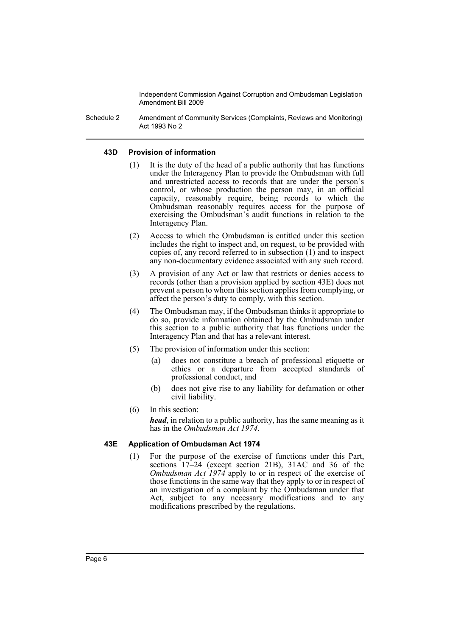Schedule 2 Amendment of Community Services (Complaints, Reviews and Monitoring) Act 1993 No 2

#### **43D Provision of information**

- (1) It is the duty of the head of a public authority that has functions under the Interagency Plan to provide the Ombudsman with full and unrestricted access to records that are under the person's control, or whose production the person may, in an official capacity, reasonably require, being records to which the Ombudsman reasonably requires access for the purpose of exercising the Ombudsman's audit functions in relation to the Interagency Plan.
- (2) Access to which the Ombudsman is entitled under this section includes the right to inspect and, on request, to be provided with copies of, any record referred to in subsection (1) and to inspect any non-documentary evidence associated with any such record.
- (3) A provision of any Act or law that restricts or denies access to records (other than a provision applied by section 43E) does not prevent a person to whom this section applies from complying, or affect the person's duty to comply, with this section.
- (4) The Ombudsman may, if the Ombudsman thinks it appropriate to do so, provide information obtained by the Ombudsman under this section to a public authority that has functions under the Interagency Plan and that has a relevant interest.
- (5) The provision of information under this section:
	- (a) does not constitute a breach of professional etiquette or ethics or a departure from accepted standards of professional conduct, and
	- (b) does not give rise to any liability for defamation or other civil liability.
- (6) In this section:

*head*, in relation to a public authority, has the same meaning as it has in the *Ombudsman Act 1974*.

## **43E Application of Ombudsman Act 1974**

(1) For the purpose of the exercise of functions under this Part, sections 17–24 (except section 21B), 31AC and 36 of the *Ombudsman Act 1974* apply to or in respect of the exercise of those functions in the same way that they apply to or in respect of an investigation of a complaint by the Ombudsman under that Act, subject to any necessary modifications and to any modifications prescribed by the regulations.